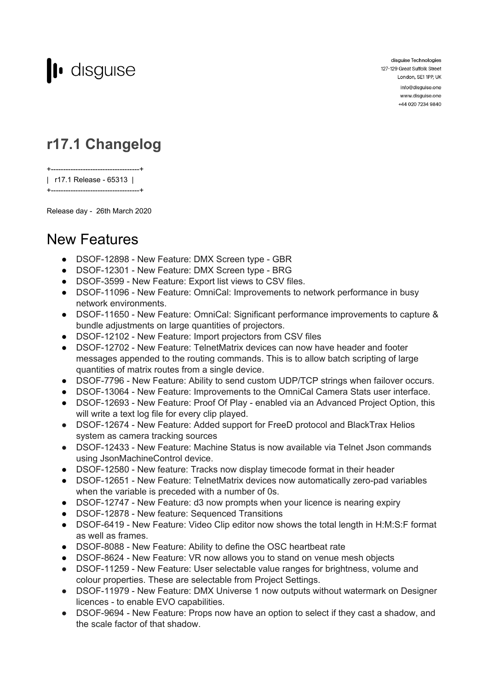

disguise Technologies 127-129 Great Suffolk Street London, SE1 1PP, UK info@disguise.one

www.disguise.one +44 020 7234 9840

## **r17.1 Changelog**

+------------------------------------+ | r17.1 Release - 65313 | +------------------------------------+

Release day - 26th March 2020

## New Features

- DSOF-12898 New Feature: DMX Screen type GBR
- DSOF-12301 New Feature: DMX Screen type BRG
- DSOF-3599 New Feature: Export list views to CSV files.
- DSOF-11096 New Feature: OmniCal: Improvements to network performance in busy network environments.
- DSOF-11650 New Feature: OmniCal: Significant performance improvements to capture & bundle adjustments on large quantities of projectors.
- DSOF-12102 New Feature: Import projectors from CSV files
- DSOF-12702 New Feature: TelnetMatrix devices can now have header and footer messages appended to the routing commands. This is to allow batch scripting of large quantities of matrix routes from a single device.
- DSOF-7796 New Feature: Ability to send custom UDP/TCP strings when failover occurs.
- DSOF-13064 New Feature: Improvements to the OmniCal Camera Stats user interface.
- DSOF-12693 New Feature: Proof Of Play enabled via an Advanced Project Option, this will write a text log file for every clip played.
- DSOF-12674 New Feature: Added support for FreeD protocol and BlackTrax Helios system as camera tracking sources
- DSOF-12433 New Feature: Machine Status is now available via Telnet Json commands using JsonMachineControl device.
- DSOF-12580 New feature: Tracks now display timecode format in their header
- DSOF-12651 New Feature: TelnetMatrix devices now automatically zero-pad variables when the variable is preceded with a number of 0s.
- DSOF-12747 New Feature: d3 now prompts when your licence is nearing expiry
- DSOF-12878 New feature: Sequenced Transitions
- DSOF-6419 New Feature: Video Clip editor now shows the total length in H:M:S:F format as well as frames.
- DSOF-8088 New Feature: Ability to define the OSC heartbeat rate
- DSOF-8624 New Feature: VR now allows you to stand on venue mesh objects
- DSOF-11259 New Feature: User selectable value ranges for brightness, volume and colour properties. These are selectable from Project Settings.
- DSOF-11979 New Feature: DMX Universe 1 now outputs without watermark on Designer licences - to enable EVO capabilities.
- DSOF-9694 New Feature: Props now have an option to select if they cast a shadow, and the scale factor of that shadow.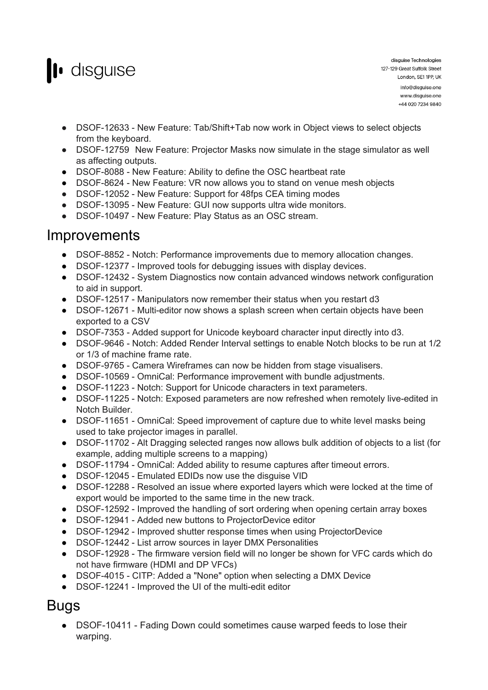

- DSOF-12633 New Feature: Tab/Shift+Tab now work in Object views to select objects from the keyboard.
- DSOF-12759 New Feature: Projector Masks now simulate in the stage simulator as well as affecting outputs.
- DSOF-8088 New Feature: Ability to define the OSC heartbeat rate
- DSOF-8624 New Feature: VR now allows you to stand on venue mesh objects
- DSOF-12052 New Feature: Support for 48fps CEA timing modes
- DSOF-13095 New Feature: GUI now supports ultra wide monitors.
- DSOF-10497 New Feature: Play Status as an OSC stream.

## Improvements

- DSOF-8852 Notch: Performance improvements due to memory allocation changes.
- DSOF-12377 Improved tools for debugging issues with display devices.
- DSOF-12432 System Diagnostics now contain advanced windows network configuration to aid in support.
- DSOF-12517 Manipulators now remember their status when you restart d3
- DSOF-12671 Multi-editor now shows a splash screen when certain objects have been exported to a CSV
- DSOF-7353 Added support for Unicode keyboard character input directly into d3.
- DSOF-9646 Notch: Added Render Interval settings to enable Notch blocks to be run at 1/2 or 1/3 of machine frame rate.
- DSOF-9765 Camera Wireframes can now be hidden from stage visualisers.
- DSOF-10569 OmniCal: Performance improvement with bundle adjustments.
- DSOF-11223 Notch: Support for Unicode characters in text parameters.
- DSOF-11225 Notch: Exposed parameters are now refreshed when remotely live-edited in Notch Builder.
- DSOF-11651 OmniCal: Speed improvement of capture due to white level masks being used to take projector images in parallel.
- DSOF-11702 Alt Dragging selected ranges now allows bulk addition of objects to a list (for example, adding multiple screens to a mapping)
- DSOF-11794 OmniCal: Added ability to resume captures after timeout errors.
- DSOF-12045 Emulated EDIDs now use the disguise VID
- DSOF-12288 Resolved an issue where exported layers which were locked at the time of export would be imported to the same time in the new track.
- DSOF-12592 Improved the handling of sort ordering when opening certain array boxes
- DSOF-12941 Added new buttons to ProjectorDevice editor
- DSOF-12942 Improved shutter response times when using ProjectorDevice
- DSOF-12442 List arrow sources in layer DMX Personalities
- DSOF-12928 The firmware version field will no longer be shown for VFC cards which do not have firmware (HDMI and DP VFCs)
- DSOF-4015 CITP: Added a "None" option when selecting a DMX Device
- DSOF-12241 Improved the UI of the multi-edit editor

## Bugs

• DSOF-10411 - Fading Down could sometimes cause warped feeds to lose their warping.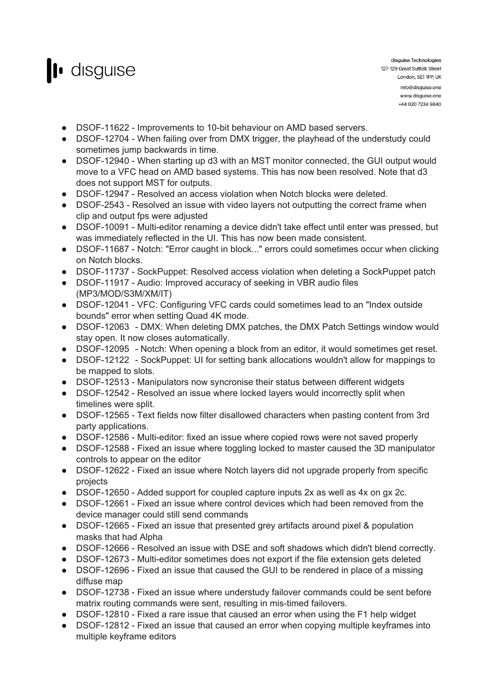

- DSOF-11622 Improvements to 10-bit behaviour on AMD based servers.
- DSOF-12704 When failing over from DMX trigger, the playhead of the understudy could sometimes jump backwards in time.
- DSOF-12940 When starting up d3 with an MST monitor connected, the GUI output would move to a VFC head on AMD based systems. This has now been resolved. Note that d3 does not support MST for outputs.
- DSOF-12947 Resolved an access violation when Notch blocks were deleted.
- DSOF-2543 Resolved an issue with video layers not outputting the correct frame when clip and output fps were adjusted
- DSOF-10091 Multi-editor renaming a device didn't take effect until enter was pressed, but was immediately reflected in the UI. This has now been made consistent.
- DSOF-11687 Notch: "Error caught in block..." errors could sometimes occur when clicking on Notch blocks.
- DSOF-11737 SockPuppet: Resolved access violation when deleting a SockPuppet patch
- DSOF-11917 Audio: Improved accuracy of seeking in VBR audio files (MP3/MOD/S3M/XM/IT)
- DSOF-12041 VFC: Configuring VFC cards could sometimes lead to an "Index outside bounds" error when setting Quad 4K mode.
- DSOF-12063 DMX: When deleting DMX patches, the DMX Patch Settings window would stay open. It now closes automatically.
- DSOF-12095 Notch: When opening a block from an editor, it would sometimes get reset.
- DSOF-12122 SockPuppet: UI for setting bank allocations wouldn't allow for mappings to be mapped to slots.
- DSOF-12513 Manipulators now syncronise their status between different widgets
- DSOF-12542 Resolved an issue where locked layers would incorrectly split when timelines were split.
- DSOF-12565 Text fields now filter disallowed characters when pasting content from 3rd party applications.
- DSOF-12586 Multi-editor: fixed an issue where copied rows were not saved properly
- DSOF-12588 Fixed an issue where toggling locked to master caused the 3D manipulator controls to appear on the editor
- DSOF-12622 Fixed an issue where Notch layers did not upgrade properly from specific projects
- DSOF-12650 Added support for coupled capture inputs 2x as well as 4x on gx 2c.
- DSOF-12661 Fixed an issue where control devices which had been removed from the device manager could still send commands
- DSOF-12665 Fixed an issue that presented grey artifacts around pixel & population masks that had Alpha
- DSOF-12666 Resolved an issue with DSE and soft shadows which didn't blend correctly.
- DSOF-12673 Multi-editor sometimes does not export if the file extension gets deleted
- DSOF-12696 Fixed an issue that caused the GUI to be rendered in place of a missing diffuse map
- DSOF-12738 Fixed an issue where understudy failover commands could be sent before matrix routing commands were sent, resulting in mis-timed failovers.
- DSOF-12810 Fixed a rare issue that caused an error when using the F1 help widget
- DSOF-12812 Fixed an issue that caused an error when copying multiple keyframes into multiple keyframe editors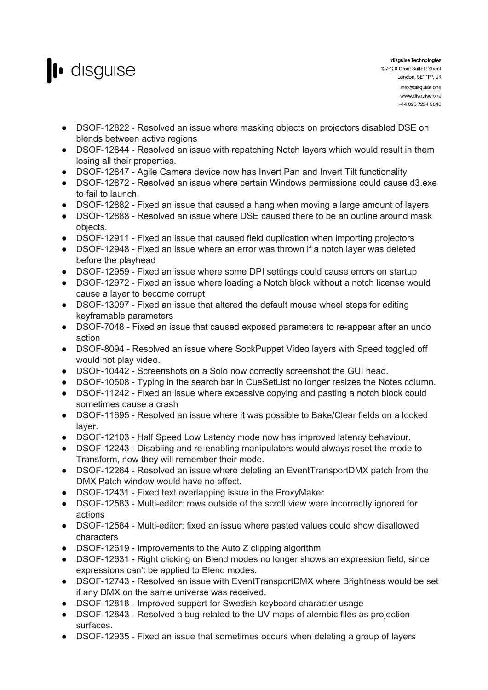

- DSOF-12822 Resolved an issue where masking objects on projectors disabled DSE on blends between active regions
- DSOF-12844 Resolved an issue with repatching Notch layers which would result in them losing all their properties.
- DSOF-12847 Agile Camera device now has Invert Pan and Invert Tilt functionality
- DSOF-12872 Resolved an issue where certain Windows permissions could cause d3.exe to fail to launch.
- DSOF-12882 Fixed an issue that caused a hang when moving a large amount of layers
- DSOF-12888 Resolved an issue where DSE caused there to be an outline around mask objects.
- DSOF-12911 Fixed an issue that caused field duplication when importing projectors
- DSOF-12948 Fixed an issue where an error was thrown if a notch layer was deleted before the playhead
- DSOF-12959 Fixed an issue where some DPI settings could cause errors on startup
- DSOF-12972 Fixed an issue where loading a Notch block without a notch license would cause a layer to become corrupt
- DSOF-13097 Fixed an issue that altered the default mouse wheel steps for editing keyframable parameters
- DSOF-7048 Fixed an issue that caused exposed parameters to re-appear after an undo action
- DSOF-8094 Resolved an issue where SockPuppet Video layers with Speed toggled off would not play video.
- DSOF-10442 Screenshots on a Solo now correctly screenshot the GUI head.
- DSOF-10508 Typing in the search bar in CueSetList no longer resizes the Notes column.
- DSOF-11242 Fixed an issue where excessive copying and pasting a notch block could sometimes cause a crash
- DSOF-11695 Resolved an issue where it was possible to Bake/Clear fields on a locked layer.
- DSOF-12103 Half Speed Low Latency mode now has improved latency behaviour.
- DSOF-12243 Disabling and re-enabling manipulators would always reset the mode to Transform, now they will remember their mode.
- DSOF-12264 Resolved an issue where deleting an EventTransportDMX patch from the DMX Patch window would have no effect.
- DSOF-12431 Fixed text overlapping issue in the ProxyMaker
- DSOF-12583 Multi-editor: rows outside of the scroll view were incorrectly ignored for actions
- DSOF-12584 Multi-editor: fixed an issue where pasted values could show disallowed characters
- DSOF-12619 Improvements to the Auto Z clipping algorithm
- DSOF-12631 Right clicking on Blend modes no longer shows an expression field, since expressions can't be applied to Blend modes.
- DSOF-12743 Resolved an issue with EventTransportDMX where Brightness would be set if any DMX on the same universe was received.
- DSOF-12818 Improved support for Swedish keyboard character usage
- DSOF-12843 Resolved a bug related to the UV maps of alembic files as projection surfaces.
- DSOF-12935 Fixed an issue that sometimes occurs when deleting a group of layers